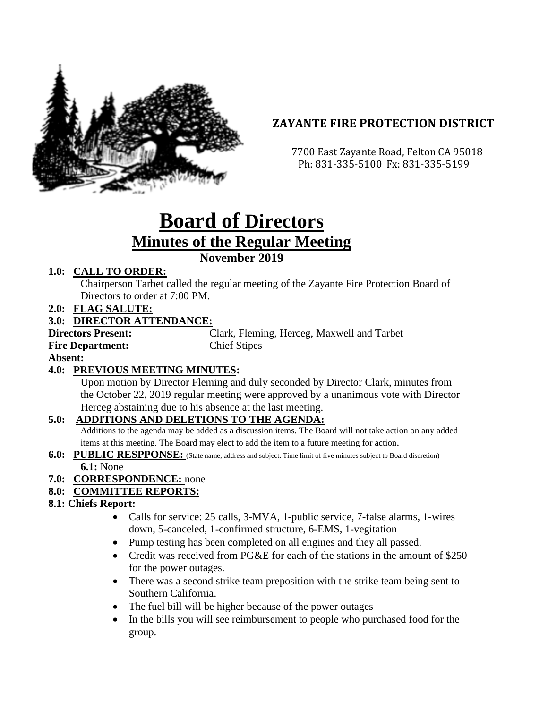

# **ZAYANTE FIRE PROTECTION DISTRICT**

 7700 East Zayante Road, Felton CA 95018 Ph: 831-335-5100 Fx: 831-335-5199

# **Board of Directors Minutes of the Regular Meeting**

# **November 2019**

# **1.0: CALL TO ORDER:**

Chairperson Tarbet called the regular meeting of the Zayante Fire Protection Board of Directors to order at 7:00 PM.

**2.0: FLAG SALUTE:**

# **3.0: DIRECTOR ATTENDANCE:**

**Directors Present:** Clark, Fleming, Herceg, Maxwell and Tarbet **Fire Department:** Chief Stipes

**Absent:** 

# **4.0: PREVIOUS MEETING MINUTES:**

Upon motion by Director Fleming and duly seconded by Director Clark, minutes from the October 22, 2019 regular meeting were approved by a unanimous vote with Director Herceg abstaining due to his absence at the last meeting.

### **5.0: ADDITIONS AND DELETIONS TO THE AGENDA:**

Additions to the agenda may be added as a discussion items. The Board will not take action on any added items at this meeting. The Board may elect to add the item to a future meeting for action.

**6.0: PUBLIC RESPPONSE:** (State name, address and subject. Time limit of five minutes subject to Board discretion) **6.1:** None

### **7.0: CORRESPONDENCE:** none

### **8.0: COMMITTEE REPORTS:**

### **8.1: Chiefs Report:**

- Calls for service: 25 calls, 3-MVA, 1-public service, 7-false alarms, 1-wires down, 5-canceled, 1-confirmed structure, 6-EMS, 1-vegitation
- Pump testing has been completed on all engines and they all passed.
- Credit was received from PG&E for each of the stations in the amount of \$250 for the power outages.
- There was a second strike team preposition with the strike team being sent to Southern California.
- The fuel bill will be higher because of the power outages
- In the bills you will see reimbursement to people who purchased food for the group.